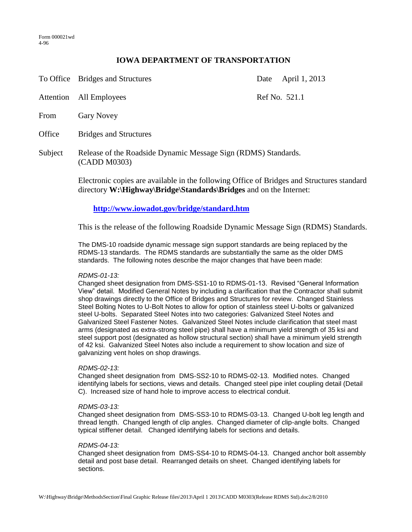## **IOWA DEPARTMENT OF TRANSPORTATION**

| To Office | <b>Bridges and Structures</b> |
|-----------|-------------------------------|
|           |                               |

Date April 1, 2013

Attention All Employees Ref No. 521.1 From Gary Novey

Office Bridges and Structures

Subject Release of the Roadside Dynamic Message Sign (RDMS) Standards. (CADD M0303)

> Electronic copies are available in the following Office of Bridges and Structures standard directory **W:\Highway\Bridge\Standards\Bridges** and on the Internet:

# **<http://www.iowadot.gov/bridge/standard.htm>**

This is the release of the following Roadside Dynamic Message Sign (RDMS) Standards.

The DMS-10 roadside dynamic message sign support standards are being replaced by the RDMS-13 standards. The RDMS standards are substantially the same as the older DMS standards. The following notes describe the major changes that have been made:

### *RDMS-01-13:*

Changed sheet designation from DMS-SS1-10 to RDMS-01-13. Revised "General Information View" detail. Modified General Notes by including a clarification that the Contractor shall submit shop drawings directly to the Office of Bridges and Structures for review. Changed Stainless Steel Bolting Notes to U-Bolt Notes to allow for option of stainless steel U-bolts or galvanized steel U-bolts. Separated Steel Notes into two categories: Galvanized Steel Notes and Galvanized Steel Fastener Notes. Galvanized Steel Notes include clarification that steel mast arms (designated as extra-strong steel pipe) shall have a minimum yield strength of 35 ksi and steel support post (designated as hollow structural section) shall have a minimum yield strength of 42 ksi. Galvanized Steel Notes also include a requirement to show location and size of galvanizing vent holes on shop drawings.

### *RDMS-02-13:*

Changed sheet designation from DMS-SS2-10 to RDMS-02-13. Modified notes. Changed identifying labels for sections, views and details. Changed steel pipe inlet coupling detail (Detail C). Increased size of hand hole to improve access to electrical conduit.

### *RDMS-03-13:*

Changed sheet designation from DMS-SS3-10 to RDMS-03-13. Changed U-bolt leg length and thread length. Changed length of clip angles. Changed diameter of clip-angle bolts. Changed typical stiffener detail. Changed identifying labels for sections and details.

#### *RDMS-04-13:*

Changed sheet designation from DMS-SS4-10 to RDMS-04-13. Changed anchor bolt assembly detail and post base detail. Rearranged details on sheet. Changed identifying labels for sections.